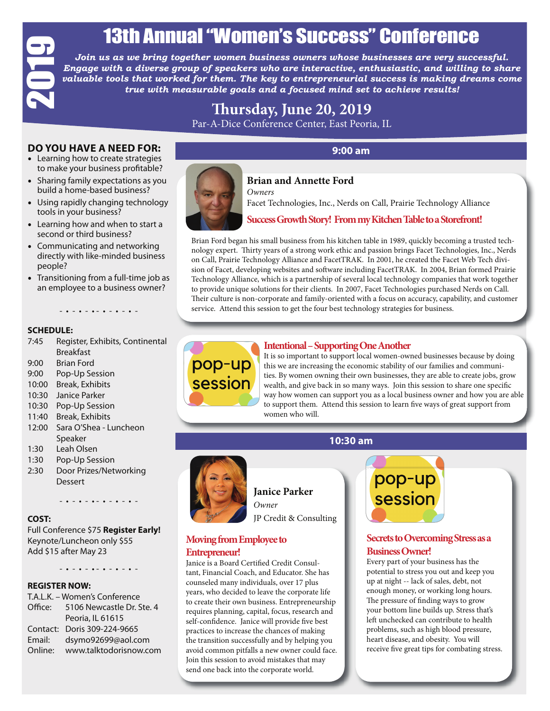# 13th Annual "Women's Success" Conference

*Join us as we bring together women business owners whose businesses are very successful. Engage with a diverse group of speakers who are interactive, enthusiastic, and willing to share*  valuable tools that worked for them. The key to entrepreneurial success is making dreams come *true with measurable goals and a focused mind set to achieve results!* 

# **Th ursday, June 20, 2019**  Par-A-Dice Conference Center, East Peoria, IL

#### **DO YOU HAVE A NEED FOR:**

- Learning how to create strategies to make your business profitable?
- Sharing family expectations as you build a home-based business?
- Using rapidly changing technology tools in your business?
- Learning how and when to start a second or third business?
- Communicating and networking directly with like-minded business people?
- Transitioning from a full-time job as an employee to a business owner?

#### - • - • - • - • - • - • -

#### **SCHEDULE:**

- 7:45 Register, Exhibits, Continental Breakfast
- 9:00 Brian Ford
- 9:00 Pop-Up Session
- 10:00 Break, Exhibits
- 10:30 Janice Parker
- 10:30 Pop-Up Session
- 11:40 Break, Exhibits
- 12:00 Sara O'Shea Luncheon Speaker
- 1:30 Leah Olsen
- 1:30 Pop-Up Session
- 2:30 Door Prizes/Networking Dessert

#### **COST:**

#### **REGISTER NOW:**

|                  | IJUI AI                                                             |
|------------------|---------------------------------------------------------------------|
|                  | Join us as we brin                                                  |
|                  |                                                                     |
|                  | <b>Engage with a divers</b>                                         |
|                  | valuable tools that w                                               |
|                  | true wit                                                            |
|                  |                                                                     |
|                  |                                                                     |
|                  |                                                                     |
|                  |                                                                     |
|                  | <b>DO YOU HAVE A NEED FOR:</b>                                      |
|                  | Learning how to create strategies                                   |
|                  | to make your business profitable?                                   |
| $\bullet$        | Sharing family expectations as yo                                   |
|                  | build a home-based business?                                        |
| $\bullet$        | Using rapidly changing technolog                                    |
|                  | tools in your business?                                             |
|                  |                                                                     |
| $\bullet$        | Learning how and when to start a                                    |
|                  | second or third business?                                           |
|                  | Communicating and networking                                        |
|                  | directly with like-minded busines                                   |
| people?          |                                                                     |
|                  | Transitioning from a full-time job                                  |
|                  | an employee to a business owner                                     |
|                  |                                                                     |
|                  |                                                                     |
|                  |                                                                     |
| <b>SCHEDULE:</b> |                                                                     |
| 7:45             | Register, Exhibits, Continenta                                      |
|                  | <b>Breakfast</b>                                                    |
| 9:00             | <b>Brian Ford</b>                                                   |
| 9:00             | Pop-Up Session                                                      |
| 10:00            | <b>Break, Exhibits</b>                                              |
| 10:30            | Janice Parker                                                       |
| 10:30            | Pop-Up Session                                                      |
| 11:40            | <b>Break, Exhibits</b>                                              |
| 12:00            | Sara O'Shea - Luncheon                                              |
|                  | Speaker                                                             |
| 1:30             | Leah Olsen                                                          |
|                  |                                                                     |
| 1:30             | Pop-Up Session                                                      |
| 2:30             | Door Prizes/Networking                                              |
|                  | <b>Dessert</b>                                                      |
|                  | - <b>.</b> - <b>.</b> - <b>.</b> - <b>.</b> - <b>.</b> - <b>.</b> - |
|                  |                                                                     |
| <b>COST:</b>     |                                                                     |
|                  | Full Conference \$75 Register Early!                                |
|                  | Keynote/Luncheon only \$55                                          |
|                  | Add \$15 after May 23                                               |
|                  |                                                                     |
|                  | $ \bullet$ $ \bullet$ $ \bullet$ $ \bullet$                         |
|                  | <b>REGISTER NOW:</b>                                                |
|                  | T.A.L.K. - Women's Conference                                       |
| Office:          | 5106 Newcastle Dr. Ste. 4                                           |
|                  | Peoria, IL 61615                                                    |
| Contact:         | Doris 309-224-9665                                                  |
| Email:           |                                                                     |
|                  | dsymo92699@aol.com                                                  |
| Online:          | www.talktodorisnow.com                                              |



#### **9:00 am**

#### **Brian and Annette Ford** *Owners*

Facet Technologies, Inc., Nerds on Call, Prairie Technology Alliance

#### **Success Growth Story! From my Kitchen Table to a Storefront!**

Brian Ford began his small business from his kitchen table in 1989, quickly becoming a trusted technology expert. Thirty years of a strong work ethic and passion brings Facet Technologies, Inc., Nerds on Call, Prairie Technology Alliance and FacetTRAK. In 2001, he created the Facet Web Tech division of Facet, developing websites and software including FacetTRAK. In 2004, Brian formed Prairie Technology Alliance, which is a partnership of several local technology companies that work together to provide unique solutions for their clients. In 2007, Facet Technologies purchased Nerds on Call. Their culture is non-corporate and family-oriented with a focus on accuracy, capability, and customer service. Attend this session to get the four best technology strategies for business.



It is so important to support local women-owned businesses because by doing this we are increasing the economic stability of our families and communities. By women owning their own businesses, they are able to create jobs, grow wealth, and give back in so many ways. Join this session to share one specific way how women can support you as a local business owner and how you are able to support them. Attend this session to learn five ways of great support from women who will.

#### **10:30 am**



**Janice Parker**  *Owner*

JP Credit & Consulting

#### **Moving from Employee to Entrepreneur!**

Janice is a Board Certified Credit Consultant, Financial Coach, and Educator. She has counseled many individuals, over 17 plus years, who decided to leave the corporate life to create their own business. Entrepreneurship requires planning, capital, focus, research and self-confidence. Janice will provide five best practices to increase the chances of making the transition successfully and by helping you avoid common pitfalls a new owner could face. Join this session to avoid mistakes that may send one back into the corporate world.



#### **Secrets to Overcoming Stress as a Business Owner!**

Every part of your business has the potential to stress you out and keep you up at night -- lack of sales, debt, not enough money, or working long hours. The pressure of finding ways to grow your bottom line builds up. Stress that's left unchecked can contribute to health problems, such as high blood pressure, heart disease, and obesity. You will receive five great tips for combating stress.

**Intentional – Supporting One Another**